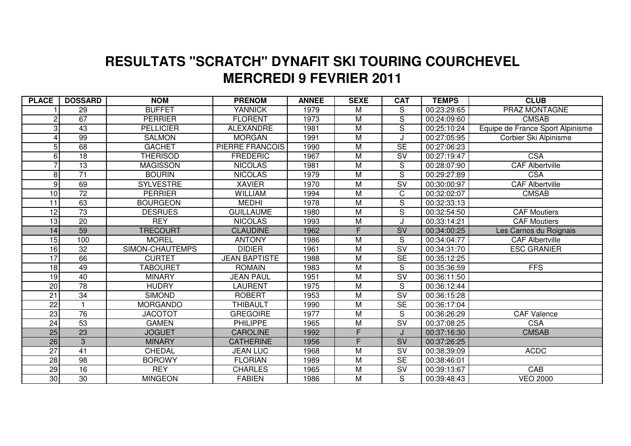## **MERCREDI 9 FEVRIER 2011 RESULTATS "SCRATCH" DYNAFIT SKI TOURING COURCHEVEL**

| <b>PLACE</b>    | <b>DOSSARD</b>  | <b>NOM</b>       | <b>PRENOM</b>          | <b>ANNEE</b> | <b>SEXE</b>             | <b>CAT</b>               | <b>TEMPS</b> | <b>CLUB</b>                      |
|-----------------|-----------------|------------------|------------------------|--------------|-------------------------|--------------------------|--------------|----------------------------------|
|                 | 29              | <b>BUFFET</b>    | <b>YANNICK</b>         | 1979         | M                       | S                        | 00:23:29:65  | <b>PRAZ MONTAGNE</b>             |
| $\mathbf 2$     | 67              | <b>PERRIER</b>   | <b>FLORENT</b>         | 1973         | M                       | S                        | 00:24:09:60  | <b>CMSAB</b>                     |
| $\overline{3}$  | 43              | <b>PELLICIER</b> | <b>ALEXANDRE</b>       | 1981         | M                       | S                        | 00:25:10:24  | Equipe de France Sport Alpinisme |
| 4               | 99              | <b>SALMON</b>    | <b>MORGAN</b>          | 1991         | M                       |                          | 00:27:05:95  | Corbier Ski Alpinisme            |
| $5\vert$        | 68              | <b>GACHET</b>    | <b>PIERRE FRANCOIS</b> | 1990         | M                       | $\overline{\text{SE}}$   | 00:27:06:23  |                                  |
| 6 <sup>1</sup>  | $\overline{18}$ | <b>THERISOD</b>  | <b>FREDERIC</b>        | 1967         | M                       | $\overline{\mathsf{SV}}$ | 00:27:19:47  | <b>CSA</b>                       |
| $\overline{7}$  | 13              | <b>MAGISSON</b>  | <b>NICOLAS</b>         | 1981         | M                       | $\mathbf S$              | 00:28:07:90  | CAF Albertville                  |
| 8               | $\overline{71}$ | <b>BOURIN</b>    | <b>NICOLAS</b>         | 1979         | M                       | S                        | 00:29:27:89  | <b>CSA</b>                       |
| 9               | 69              | <b>SYLVESTRE</b> | <b>XAVIER</b>          | 1970         | $\overline{M}$          | $\overline{\mathsf{SV}}$ | 00:30:00:97  | <b>CAF Albertville</b>           |
| 10              | $\overline{72}$ | <b>PERRIER</b>   | <b>WILLIAM</b>         | 1994         | M                       | C                        | 00:32:02:07  | <b>CMSAB</b>                     |
| 11              | 63              | <b>BOURGEON</b>  | <b>MEDHI</b>           | 1978         | M                       | S                        | 00:32:33:13  |                                  |
| $\overline{12}$ | 73              | <b>DESRUES</b>   | <b>GUILLAUME</b>       | 1980         | M                       | S                        | 00:32:54:50  | <b>CAF Moutiers</b>              |
| 13              | 20              | <b>REY</b>       | <b>NICOLAS</b>         | 1993         | M                       |                          | 00:33:14:21  | <b>CAF Moutiers</b>              |
| 14              | 59              | <b>TRECOURT</b>  | <b>CLAUDINE</b>        | 1962         | F                       | SV                       | 00:34:00:25  | Les Carnos du Roignais           |
| 15              | 100             | <b>MOREL</b>     | <b>ANTONY</b>          | 1986         | M                       | S                        | 00:34:04:77  | CAF Albertville                  |
| 16              | $\overline{32}$ | SIMON-CHAUTEMPS  | <b>DIDIER</b>          | 1961         | M                       | $\overline{\mathsf{SV}}$ | 00:34:31:70  | <b>ESC GRANIER</b>               |
| 17              | 66              | <b>CURTET</b>    | <b>JEAN BAPTISTE</b>   | 1988         | M                       | <b>SE</b>                | 00:35:12:25  |                                  |
| 18              | 49              | <b>TABOURET</b>  | <b>ROMAIN</b>          | 1983         | $\overline{\mathsf{M}}$ | S                        | 00:35:36:59  | <b>FFS</b>                       |
| 19              | 40              | <b>MINARY</b>    | <b>JEAN PAUL</b>       | 1951         | M                       | SV                       | 00:36:11:50  |                                  |
| 20              | 78              | <b>HUDRY</b>     | LAURENT                | 1975         | M                       | S                        | 00:36:12:44  |                                  |
| 21              | 34              | <b>SIMOND</b>    | <b>ROBERT</b>          | 1953         | $\overline{\mathsf{M}}$ | $\overline{\mathsf{sv}}$ | 00:36:15:28  |                                  |
| 22              |                 | <b>MORGANDO</b>  | <b>THIBAULT</b>        | 1990         | $\overline{\mathsf{M}}$ | $\overline{\text{SE}}$   | 00:36:17:04  |                                  |
| 23              | 76              | <b>JACOTOT</b>   | <b>GREGOIRE</b>        | 1977         | $\overline{\mathsf{M}}$ | $\overline{S}$           | 00:36:26:29  | <b>CAF Valence</b>               |
| 24              | $\overline{53}$ | <b>GAMEN</b>     | <b>PHILIPPE</b>        | 1965         | M                       | $\overline{\mathsf{SV}}$ | 00:37:08:25  | <b>CSA</b>                       |
| 25              | $\overline{23}$ | <b>JOGUET</b>    | <b>CAROLINE</b>        | 1992         | F                       |                          | 00:37:16:30  | <b>CMSAB</b>                     |
| 26              | $\overline{3}$  | <b>MINARY</b>    | <b>CATHERINE</b>       | 1956         | F                       | $\overline{\mathsf{SV}}$ | 00:37:26:25  |                                  |
| $\overline{27}$ | $\overline{41}$ | CHEDAL           | <b>JEAN LUC</b>        | 1968         | M                       | <b>SV</b>                | 00:38:39:09  | <b>ACDC</b>                      |
| 28              | $\overline{98}$ | <b>BOROWY</b>    | <b>FLORIAN</b>         | 1989         | M                       | <b>SE</b>                | 00:38:46:01  |                                  |
| 29              | 16              | <b>REY</b>       | <b>CHARLES</b>         | 1965         | M                       | $\overline{\mathsf{SV}}$ | 00:39:13:67  | CAB                              |
| 30              | $\overline{30}$ | <b>MINGEON</b>   | <b>FABIEN</b>          | 1986         | M                       | S                        | 00:39:48:43  | <b>VEO 2000</b>                  |